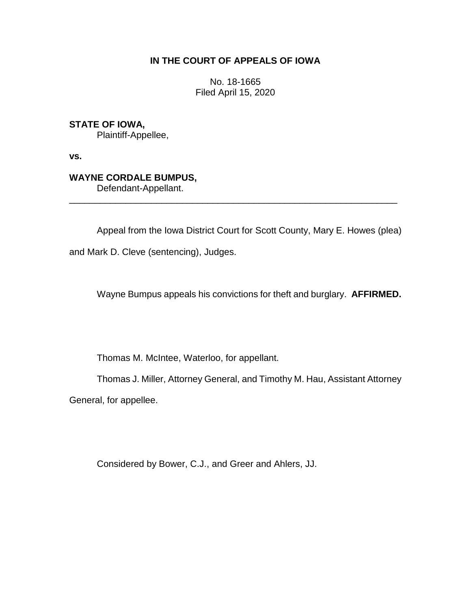# **IN THE COURT OF APPEALS OF IOWA**

No. 18-1665 Filed April 15, 2020

**STATE OF IOWA,**

Plaintiff-Appellee,

**vs.**

## **WAYNE CORDALE BUMPUS,**

Defendant-Appellant.

Appeal from the Iowa District Court for Scott County, Mary E. Howes (plea)

\_\_\_\_\_\_\_\_\_\_\_\_\_\_\_\_\_\_\_\_\_\_\_\_\_\_\_\_\_\_\_\_\_\_\_\_\_\_\_\_\_\_\_\_\_\_\_\_\_\_\_\_\_\_\_\_\_\_\_\_\_\_\_\_

and Mark D. Cleve (sentencing), Judges.

Wayne Bumpus appeals his convictions for theft and burglary. **AFFIRMED.**

Thomas M. McIntee, Waterloo, for appellant.

Thomas J. Miller, Attorney General, and Timothy M. Hau, Assistant Attorney

General, for appellee.

Considered by Bower, C.J., and Greer and Ahlers, JJ.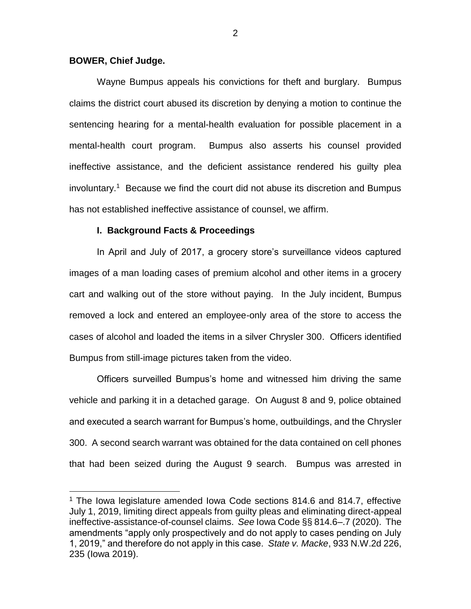## **BOWER, Chief Judge.**

 $\overline{a}$ 

Wayne Bumpus appeals his convictions for theft and burglary. Bumpus claims the district court abused its discretion by denying a motion to continue the sentencing hearing for a mental-health evaluation for possible placement in a mental-health court program. Bumpus also asserts his counsel provided ineffective assistance, and the deficient assistance rendered his guilty plea involuntary.<sup>1</sup> Because we find the court did not abuse its discretion and Bumpus has not established ineffective assistance of counsel, we affirm.

## **I. Background Facts & Proceedings**

In April and July of 2017, a grocery store's surveillance videos captured images of a man loading cases of premium alcohol and other items in a grocery cart and walking out of the store without paying. In the July incident, Bumpus removed a lock and entered an employee-only area of the store to access the cases of alcohol and loaded the items in a silver Chrysler 300. Officers identified Bumpus from still-image pictures taken from the video.

Officers surveilled Bumpus's home and witnessed him driving the same vehicle and parking it in a detached garage. On August 8 and 9, police obtained and executed a search warrant for Bumpus's home, outbuildings, and the Chrysler 300. A second search warrant was obtained for the data contained on cell phones that had been seized during the August 9 search. Bumpus was arrested in

<sup>&</sup>lt;sup>1</sup> The Iowa legislature amended Iowa Code sections 814.6 and 814.7, effective July 1, 2019, limiting direct appeals from guilty pleas and eliminating direct-appeal ineffective-assistance-of-counsel claims. *See* Iowa Code §§ 814.6–.7 (2020). The amendments "apply only prospectively and do not apply to cases pending on July 1, 2019," and therefore do not apply in this case. *State v. Macke*, 933 N.W.2d 226, 235 (Iowa 2019).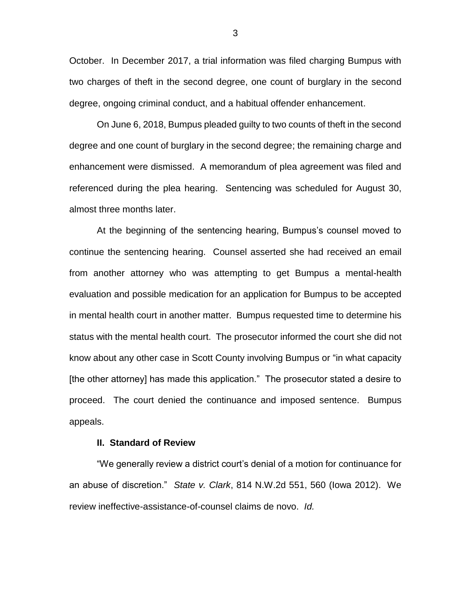October. In December 2017, a trial information was filed charging Bumpus with two charges of theft in the second degree, one count of burglary in the second degree, ongoing criminal conduct, and a habitual offender enhancement.

On June 6, 2018, Bumpus pleaded guilty to two counts of theft in the second degree and one count of burglary in the second degree; the remaining charge and enhancement were dismissed. A memorandum of plea agreement was filed and referenced during the plea hearing. Sentencing was scheduled for August 30, almost three months later.

At the beginning of the sentencing hearing, Bumpus's counsel moved to continue the sentencing hearing. Counsel asserted she had received an email from another attorney who was attempting to get Bumpus a mental-health evaluation and possible medication for an application for Bumpus to be accepted in mental health court in another matter. Bumpus requested time to determine his status with the mental health court. The prosecutor informed the court she did not know about any other case in Scott County involving Bumpus or "in what capacity [the other attorney] has made this application." The prosecutor stated a desire to proceed. The court denied the continuance and imposed sentence. Bumpus appeals.

#### **II. Standard of Review**

"We generally review a district court's denial of a motion for continuance for an abuse of discretion." *State v. Clark*, 814 N.W.2d 551, 560 (Iowa 2012). We review ineffective-assistance-of-counsel claims de novo. *Id.*

3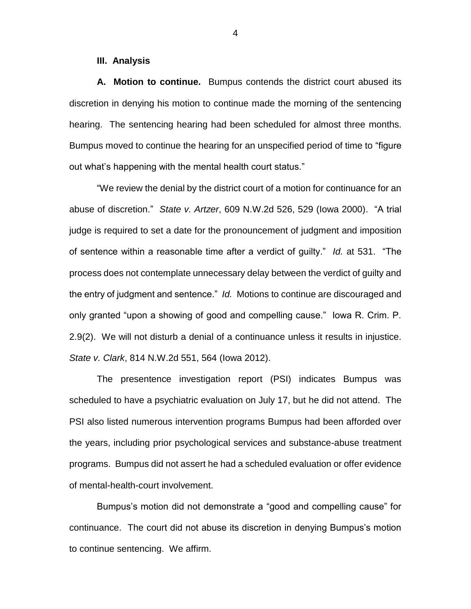#### **III. Analysis**

**A. Motion to continue.** Bumpus contends the district court abused its discretion in denying his motion to continue made the morning of the sentencing hearing. The sentencing hearing had been scheduled for almost three months. Bumpus moved to continue the hearing for an unspecified period of time to "figure out what's happening with the mental health court status."

"We review the denial by the district court of a motion for continuance for an abuse of discretion." *State v. Artzer*, 609 N.W.2d 526, 529 (Iowa 2000). "A trial judge is required to set a date for the pronouncement of judgment and imposition of sentence within a reasonable time after a verdict of guilty." *Id.* at 531. "The process does not contemplate unnecessary delay between the verdict of guilty and the entry of judgment and sentence." *Id.* Motions to continue are discouraged and only granted "upon a showing of good and compelling cause." Iowa R. Crim. P. 2.9(2). We will not disturb a denial of a continuance unless it results in injustice. *State v. Clark*, 814 N.W.2d 551, 564 (Iowa 2012).

The presentence investigation report (PSI) indicates Bumpus was scheduled to have a psychiatric evaluation on July 17, but he did not attend. The PSI also listed numerous intervention programs Bumpus had been afforded over the years, including prior psychological services and substance-abuse treatment programs. Bumpus did not assert he had a scheduled evaluation or offer evidence of mental-health-court involvement.

Bumpus's motion did not demonstrate a "good and compelling cause" for continuance. The court did not abuse its discretion in denying Bumpus's motion to continue sentencing. We affirm.

4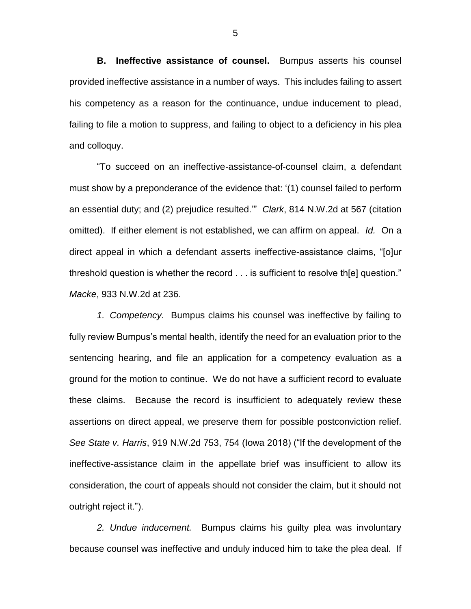**B. Ineffective assistance of counsel.** Bumpus asserts his counsel provided ineffective assistance in a number of ways. This includes failing to assert his competency as a reason for the continuance, undue inducement to plead, failing to file a motion to suppress, and failing to object to a deficiency in his plea and colloquy.

"To succeed on an ineffective-assistance-of-counsel claim, a defendant must show by a preponderance of the evidence that: '(1) counsel failed to perform an essential duty; and (2) prejudice resulted.'" *Clark*, 814 N.W.2d at 567 (citation omitted). If either element is not established, we can affirm on appeal. *Id.* On a direct appeal in which a defendant asserts ineffective-assistance claims, "[o]ur threshold question is whether the record . . . is sufficient to resolve th[e] question." *Macke*, 933 N.W.2d at 236.

*1. Competency.* Bumpus claims his counsel was ineffective by failing to fully review Bumpus's mental health, identify the need for an evaluation prior to the sentencing hearing, and file an application for a competency evaluation as a ground for the motion to continue. We do not have a sufficient record to evaluate these claims. Because the record is insufficient to adequately review these assertions on direct appeal, we preserve them for possible postconviction relief. *See State v. Harris*, 919 N.W.2d 753, 754 (Iowa 2018) ("If the development of the ineffective-assistance claim in the appellate brief was insufficient to allow its consideration, the court of appeals should not consider the claim, but it should not outright reject it.").

*2. Undue inducement.* Bumpus claims his guilty plea was involuntary because counsel was ineffective and unduly induced him to take the plea deal. If

5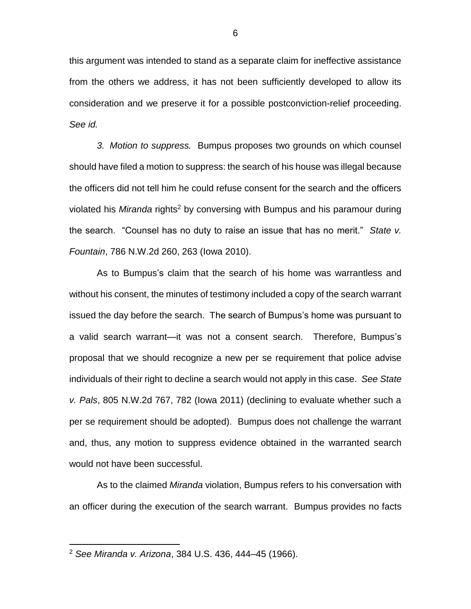this argument was intended to stand as a separate claim for ineffective assistance from the others we address, it has not been sufficiently developed to allow its consideration and we preserve it for a possible postconviction-relief proceeding. *See id.*

*3. Motion to suppress.* Bumpus proposes two grounds on which counsel should have filed a motion to suppress: the search of his house was illegal because the officers did not tell him he could refuse consent for the search and the officers violated his *Miranda* rights<sup>2</sup> by conversing with Bumpus and his paramour during the search. "Counsel has no duty to raise an issue that has no merit." *State v. Fountain*, 786 N.W.2d 260, 263 (Iowa 2010).

As to Bumpus's claim that the search of his home was warrantless and without his consent, the minutes of testimony included a copy of the search warrant issued the day before the search. The search of Bumpus's home was pursuant to a valid search warrant—it was not a consent search. Therefore, Bumpus's proposal that we should recognize a new per se requirement that police advise individuals of their right to decline a search would not apply in this case. *See State v. Pals*, 805 N.W.2d 767, 782 (Iowa 2011) (declining to evaluate whether such a per se requirement should be adopted). Bumpus does not challenge the warrant and, thus, any motion to suppress evidence obtained in the warranted search would not have been successful.

As to the claimed *Miranda* violation, Bumpus refers to his conversation with an officer during the execution of the search warrant. Bumpus provides no facts

 $\overline{a}$ 

<sup>2</sup> *See Miranda v. Arizona*, 384 U.S. 436, 444–45 (1966).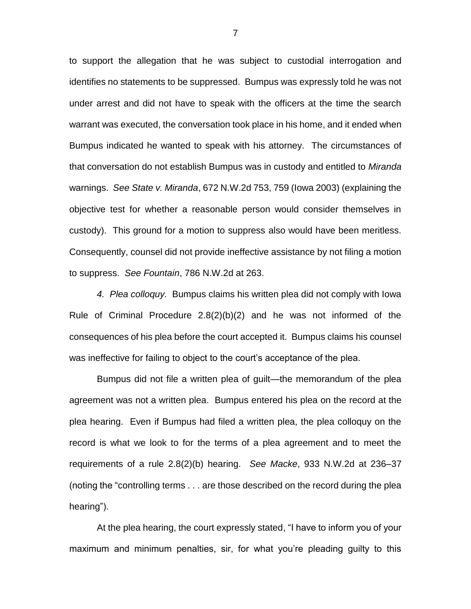to support the allegation that he was subject to custodial interrogation and identifies no statements to be suppressed. Bumpus was expressly told he was not under arrest and did not have to speak with the officers at the time the search warrant was executed, the conversation took place in his home, and it ended when Bumpus indicated he wanted to speak with his attorney. The circumstances of that conversation do not establish Bumpus was in custody and entitled to *Miranda* warnings. *See State v. Miranda*, 672 N.W.2d 753, 759 (Iowa 2003) (explaining the objective test for whether a reasonable person would consider themselves in custody). This ground for a motion to suppress also would have been meritless. Consequently, counsel did not provide ineffective assistance by not filing a motion to suppress. *See Fountain*, 786 N.W.2d at 263.

*4. Plea colloquy.* Bumpus claims his written plea did not comply with Iowa Rule of Criminal Procedure 2.8(2)(b)(2) and he was not informed of the consequences of his plea before the court accepted it. Bumpus claims his counsel was ineffective for failing to object to the court's acceptance of the plea.

Bumpus did not file a written plea of guilt—the memorandum of the plea agreement was not a written plea. Bumpus entered his plea on the record at the plea hearing. Even if Bumpus had filed a written plea, the plea colloquy on the record is what we look to for the terms of a plea agreement and to meet the requirements of a rule 2.8(2)(b) hearing. *See Macke*, 933 N.W.2d at 236–37 (noting the "controlling terms . . . are those described on the record during the plea hearing").

At the plea hearing, the court expressly stated, "I have to inform you of your maximum and minimum penalties, sir, for what you're pleading guilty to this